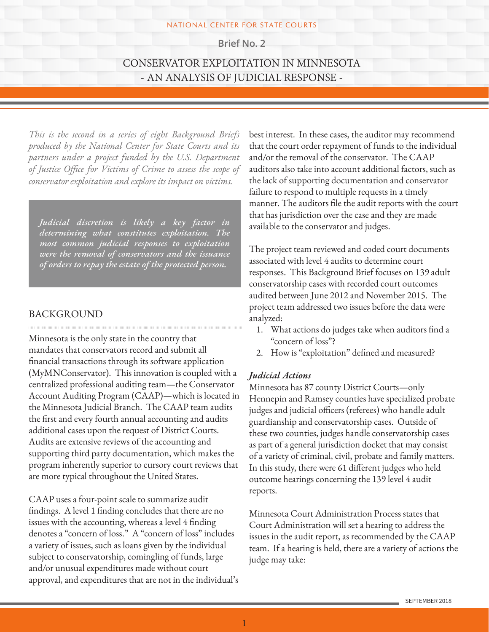#### NATIONAL CENTER FOR STATE COURTS

**Brief No. 2**

# CONSERVATOR EXPLOITATION IN MINNESOTA - AN ANALYSIS OF JUDICIAL RESPONSE -

*This is the second in a series of eight Background Briefs produced by the National Center for State Courts and its partners under a project funded by the U.S. Department of Justice Office for Victims of Crime to assess the scope of conservator exploitation and explore its impact on victims.*

*Judicial discretion is likely a key factor in determining what constitutes exploitation. The most common judicial responses to exploitation were the removal of conservators and the issuance of orders to repay the estate of the protected person.* 

## **BACKGROUND**

Minnesota is the only state in the country that mandates that conservators record and submit all financial transactions through its software application (MyMNConservator). This innovation is coupled with a centralized professional auditing team—the Conservator Account Auditing Program (CAAP)—which is located in the Minnesota Judicial Branch. The CAAP team audits the first and every fourth annual accounting and audits additional cases upon the request of District Courts. Audits are extensive reviews of the accounting and supporting third party documentation, which makes the program inherently superior to cursory court reviews that are more typical throughout the United States.

CAAP uses a four-point scale to summarize audit findings. A level 1 finding concludes that there are no issues with the accounting, whereas a level 4 finding denotes a "concern of loss." A "concern of loss" includes a variety of issues, such as loans given by the individual subject to conservatorship, comingling of funds, large and/or unusual expenditures made without court approval, and expenditures that are not in the individual's best interest. In these cases, the auditor may recommend that the court order repayment of funds to the individual and/or the removal of the conservator. The CAAP auditors also take into account additional factors, such as the lack of supporting documentation and conservator failure to respond to multiple requests in a timely manner. The auditors file the audit reports with the court that has jurisdiction over the case and they are made available to the conservator and judges.

The project team reviewed and coded court documents associated with level 4 audits to determine court responses. This Background Brief focuses on 139 adult conservatorship cases with recorded court outcomes audited between June 2012 and November 2015. The project team addressed two issues before the data were analyzed:

- 1. What actions do judges take when auditors find a "concern of loss"?
- 2. How is "exploitation" defined and measured?

### *Judicial Actions*

Minnesota has 87 county District Courts—only Hennepin and Ramsey counties have specialized probate judges and judicial officers (referees) who handle adult guardianship and conservatorship cases. Outside of these two counties, judges handle conservatorship cases as part of a general jurisdiction docket that may consist of a variety of criminal, civil, probate and family matters. In this study, there were 61 different judges who held outcome hearings concerning the 139 level 4 audit reports.

Minnesota Court Administration Process states that Court Administration will set a hearing to address the issues in the audit report, as recommended by the CAAP team. If a hearing is held, there are a variety of actions the judge may take: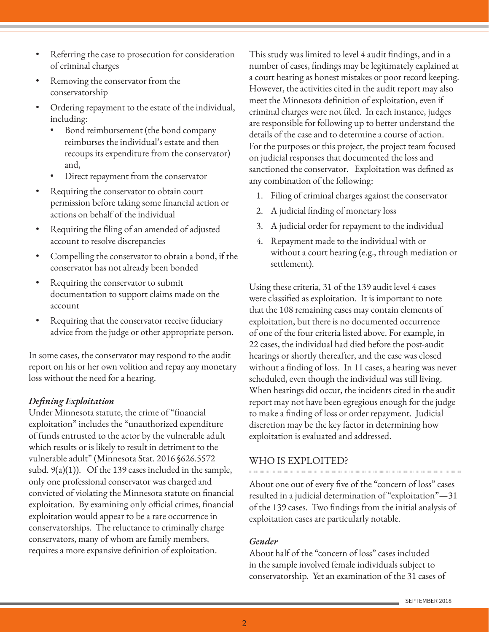- Referring the case to prosecution for consideration of criminal charges
- Removing the conservator from the conservatorship
- Ordering repayment to the estate of the individual, including:
	- Bond reimbursement (the bond company reimburses the individual's estate and then recoups its expenditure from the conservator) and,
	- Direct repayment from the conservator
- Requiring the conservator to obtain court permission before taking some financial action or actions on behalf of the individual
- Requiring the filing of an amended of adjusted account to resolve discrepancies
- Compelling the conservator to obtain a bond, if the conservator has not already been bonded
- Requiring the conservator to submit documentation to support claims made on the account
- Requiring that the conservator receive fiduciary advice from the judge or other appropriate person.

In some cases, the conservator may respond to the audit report on his or her own volition and repay any monetary loss without the need for a hearing.

### *Defining Exploitation*

Under Minnesota statute, the crime of "financial exploitation" includes the "unauthorized expenditure of funds entrusted to the actor by the vulnerable adult which results or is likely to result in detriment to the vulnerable adult" (Minnesota Stat. 2016 §626.5572 subd.  $9(a)(1)$ ). Of the 139 cases included in the sample, only one professional conservator was charged and convicted of violating the Minnesota statute on financial exploitation. By examining only official crimes, financial exploitation would appear to be a rare occurrence in conservatorships. The reluctance to criminally charge conservators, many of whom are family members, requires a more expansive definition of exploitation.

This study was limited to level 4 audit findings, and in a number of cases, findings may be legitimately explained at a court hearing as honest mistakes or poor record keeping. However, the activities cited in the audit report may also meet the Minnesota definition of exploitation, even if criminal charges were not filed. In each instance, judges are responsible for following up to better understand the details of the case and to determine a course of action. For the purposes or this project, the project team focused on judicial responses that documented the loss and sanctioned the conservator. Exploitation was defined as any combination of the following:

- 1. Filing of criminal charges against the conservator
- 2. A judicial finding of monetary loss
- 3. A judicial order for repayment to the individual
- 4. Repayment made to the individual with or without a court hearing (e.g., through mediation or settlement).

Using these criteria, 31 of the 139 audit level 4 cases were classified as exploitation. It is important to note that the 108 remaining cases may contain elements of exploitation, but there is no documented occurrence of one of the four criteria listed above. For example, in 22 cases, the individual had died before the post-audit hearings or shortly thereafter, and the case was closed without a finding of loss. In 11 cases, a hearing was never scheduled, even though the individual was still living. When hearings did occur, the incidents cited in the audit report may not have been egregious enough for the judge to make a finding of loss or order repayment. Judicial discretion may be the key factor in determining how exploitation is evaluated and addressed.

### WHO IS EXPLOITED?

About one out of every five of the "concern of loss" cases resulted in a judicial determination of "exploitation"—31 of the 139 cases. Two findings from the initial analysis of exploitation cases are particularly notable.

#### *Gender*

About half of the "concern of loss" cases included in the sample involved female individuals subject to conservatorship. Yet an examination of the 31 cases of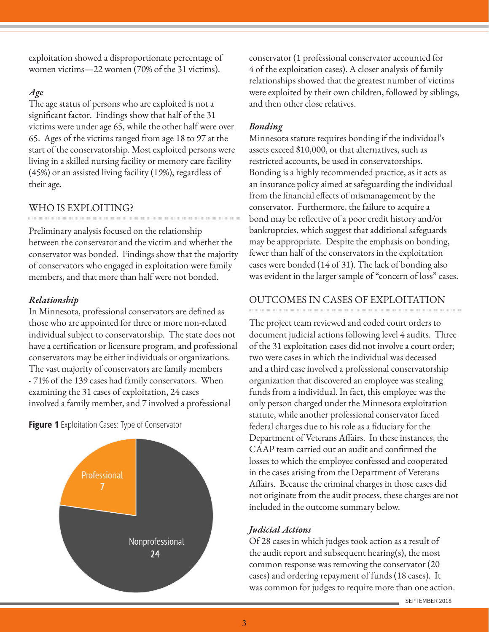exploitation showed a disproportionate percentage of women victims—22 women (70% of the 31 victims).

## *Age*

The age status of persons who are exploited is not a significant factor. Findings show that half of the 31 victims were under age 65, while the other half were over 65. Ages of the victims ranged from age 18 to 97 at the start of the conservatorship. Most exploited persons were living in a skilled nursing facility or memory care facility (45%) or an assisted living facility (19%), regardless of their age.

# WHO IS EXPLOITING?

Preliminary analysis focused on the relationship between the conservator and the victim and whether the conservator was bonded. Findings show that the majority of conservators who engaged in exploitation were family members, and that more than half were not bonded.

## *Relationship*

In Minnesota, professional conservators are defined as those who are appointed for three or more non-related individual subject to conservatorship. The state does not have a certification or licensure program, and professional conservators may be either individuals or organizations. The vast majority of conservators are family members - 71% of the 139 cases had family conservators. When examining the 31 cases of exploitation, 24 cases involved a family member, and 7 involved a professional

**Figure 1** Exploitation Cases: Type of Conservator



conservator (1 professional conservator accounted for 4 of the exploitation cases). A closer analysis of family relationships showed that the greatest number of victims were exploited by their own children, followed by siblings, and then other close relatives.

## *Bonding*

Minnesota statute requires bonding if the individual's assets exceed \$10,000, or that alternatives, such as restricted accounts, be used in conservatorships. Bonding is a highly recommended practice, as it acts as an insurance policy aimed at safeguarding the individual from the financial effects of mismanagement by the conservator. Furthermore, the failure to acquire a bond may be reflective of a poor credit history and/or bankruptcies, which suggest that additional safeguards may be appropriate. Despite the emphasis on bonding, fewer than half of the conservators in the exploitation cases were bonded (14 of 31). The lack of bonding also was evident in the larger sample of "concern of loss" cases.

# OUTCOMES IN CASES OF EXPLOITATION

The project team reviewed and coded court orders to document judicial actions following level 4 audits. Three of the 31 exploitation cases did not involve a court order; two were cases in which the individual was deceased and a third case involved a professional conservatorship organization that discovered an employee was stealing funds from a individual. In fact, this employee was the only person charged under the Minnesota exploitation statute, while another professional conservator faced federal charges due to his role as a fiduciary for the Department of Veterans Affairs. In these instances, the CAAP team carried out an audit and confirmed the losses to which the employee confessed and cooperated in the cases arising from the Department of Veterans Affairs. Because the criminal charges in those cases did not originate from the audit process, these charges are not included in the outcome summary below.

## *Judicial Actions*

Of 28 cases in which judges took action as a result of the audit report and subsequent hearing(s), the most common response was removing the conservator (20 cases) and ordering repayment of funds (18 cases). It was common for judges to require more than one action.